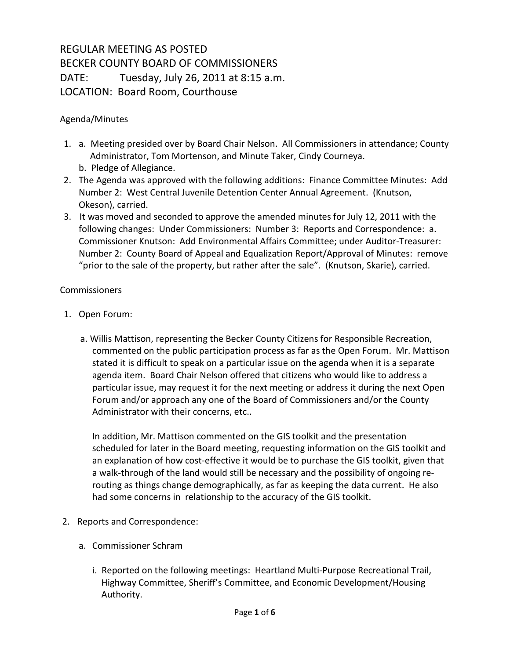## REGULAR MEETING AS POSTED BECKER COUNTY BOARD OF COMMISSIONERS DATE: Tuesday, July 26, 2011 at 8:15 a.m. LOCATION: Board Room, Courthouse

## Agenda/Minutes

- 1. a. Meeting presided over by Board Chair Nelson. All Commissioners in attendance; County Administrator, Tom Mortenson, and Minute Taker, Cindy Courneya. b. Pledge of Allegiance.
- 2. The Agenda was approved with the following additions: Finance Committee Minutes: Add Number 2: West Central Juvenile Detention Center Annual Agreement. (Knutson, Okeson), carried.
- 3. It was moved and seconded to approve the amended minutes for July 12, 2011 with the following changes: Under Commissioners: Number 3: Reports and Correspondence: a. Commissioner Knutson: Add Environmental Affairs Committee; under Auditor-Treasurer: Number 2: County Board of Appeal and Equalization Report/Approval of Minutes: remove "prior to the sale of the property, but rather after the sale". (Knutson, Skarie), carried.

## Commissioners

- 1. Open Forum:
	- a. Willis Mattison, representing the Becker County Citizens for Responsible Recreation, commented on the public participation process as far as the Open Forum. Mr. Mattison stated it is difficult to speak on a particular issue on the agenda when it is a separate agenda item. Board Chair Nelson offered that citizens who would like to address a particular issue, may request it for the next meeting or address it during the next Open Forum and/or approach any one of the Board of Commissioners and/or the County Administrator with their concerns, etc..

In addition, Mr. Mattison commented on the GIS toolkit and the presentation scheduled for later in the Board meeting, requesting information on the GIS toolkit and an explanation of how cost-effective it would be to purchase the GIS toolkit, given that a walk-through of the land would still be necessary and the possibility of ongoing rerouting as things change demographically, as far as keeping the data current. He also had some concerns in relationship to the accuracy of the GIS toolkit.

- 2. Reports and Correspondence:
	- a. Commissioner Schram
		- i. Reported on the following meetings: Heartland Multi-Purpose Recreational Trail, Highway Committee, Sheriff's Committee, and Economic Development/Housing Authority.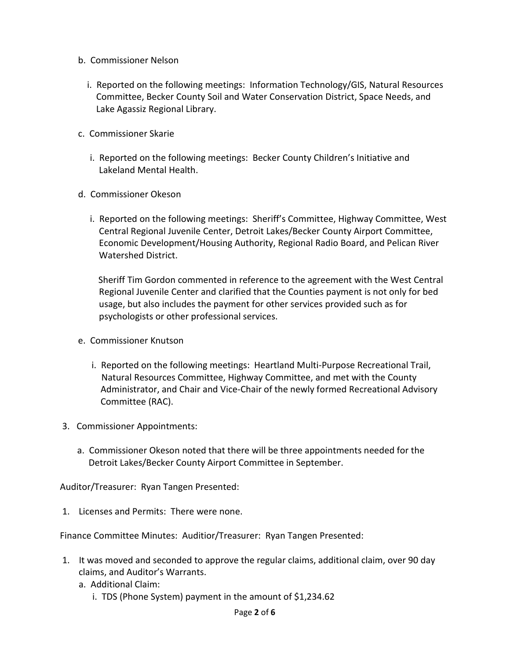- b. Commissioner Nelson
	- i. Reported on the following meetings: Information Technology/GIS, Natural Resources Committee, Becker County Soil and Water Conservation District, Space Needs, and Lake Agassiz Regional Library.
- c. Commissioner Skarie
	- i. Reported on the following meetings: Becker County Children's Initiative and Lakeland Mental Health.
- d. Commissioner Okeson
	- i. Reported on the following meetings: Sheriff's Committee, Highway Committee, West Central Regional Juvenile Center, Detroit Lakes/Becker County Airport Committee, Economic Development/Housing Authority, Regional Radio Board, and Pelican River Watershed District.

 Sheriff Tim Gordon commented in reference to the agreement with the West Central Regional Juvenile Center and clarified that the Counties payment is not only for bed usage, but also includes the payment for other services provided such as for psychologists or other professional services.

- e. Commissioner Knutson
	- i. Reported on the following meetings: Heartland Multi-Purpose Recreational Trail, Natural Resources Committee, Highway Committee, and met with the County Administrator, and Chair and Vice-Chair of the newly formed Recreational Advisory Committee (RAC).
- 3. Commissioner Appointments:
	- a. Commissioner Okeson noted that there will be three appointments needed for the Detroit Lakes/Becker County Airport Committee in September.

Auditor/Treasurer: Ryan Tangen Presented:

1. Licenses and Permits: There were none.

Finance Committee Minutes: Auditior/Treasurer: Ryan Tangen Presented:

- 1. It was moved and seconded to approve the regular claims, additional claim, over 90 day claims, and Auditor's Warrants.
	- a. Additional Claim:
		- i. TDS (Phone System) payment in the amount of \$1,234.62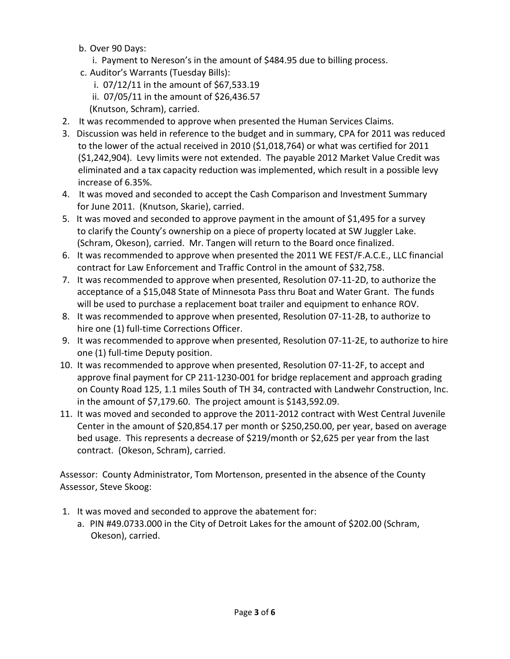- b. Over 90 Days:
	- i. Payment to Nereson's in the amount of \$484.95 due to billing process.
- c. Auditor's Warrants (Tuesday Bills):
	- i. 07/12/11 in the amount of \$67,533.19
	- ii. 07/05/11 in the amount of \$26,436.57
	- (Knutson, Schram), carried.
- 2. It was recommended to approve when presented the Human Services Claims.
- 3. Discussion was held in reference to the budget and in summary, CPA for 2011 was reduced to the lower of the actual received in 2010 (\$1,018,764) or what was certified for 2011 (\$1,242,904). Levy limits were not extended. The payable 2012 Market Value Credit was eliminated and a tax capacity reduction was implemented, which result in a possible levy increase of 6.35%.
- 4. It was moved and seconded to accept the Cash Comparison and Investment Summary for June 2011. (Knutson, Skarie), carried.
- 5. It was moved and seconded to approve payment in the amount of \$1,495 for a survey to clarify the County's ownership on a piece of property located at SW Juggler Lake. (Schram, Okeson), carried. Mr. Tangen will return to the Board once finalized.
- 6. It was recommended to approve when presented the 2011 WE FEST/F.A.C.E., LLC financial contract for Law Enforcement and Traffic Control in the amount of \$32,758.
- 7. It was recommended to approve when presented, Resolution 07-11-2D, to authorize the acceptance of a \$15,048 State of Minnesota Pass thru Boat and Water Grant. The funds will be used to purchase a replacement boat trailer and equipment to enhance ROV.
- 8. It was recommended to approve when presented, Resolution 07-11-2B, to authorize to hire one (1) full-time Corrections Officer.
- 9. It was recommended to approve when presented, Resolution 07-11-2E, to authorize to hire one (1) full-time Deputy position.
- 10. It was recommended to approve when presented, Resolution 07-11-2F, to accept and approve final payment for CP 211-1230-001 for bridge replacement and approach grading on County Road 125, 1.1 miles South of TH 34, contracted with Landwehr Construction, Inc. in the amount of \$7,179.60. The project amount is \$143,592.09.
- 11. It was moved and seconded to approve the 2011-2012 contract with West Central Juvenile Center in the amount of \$20,854.17 per month or \$250,250.00, per year, based on average bed usage. This represents a decrease of \$219/month or \$2,625 per year from the last contract. (Okeson, Schram), carried.

Assessor: County Administrator, Tom Mortenson, presented in the absence of the County Assessor, Steve Skoog:

- 1. It was moved and seconded to approve the abatement for:
	- a. PIN #49.0733.000 in the City of Detroit Lakes for the amount of \$202.00 (Schram, Okeson), carried.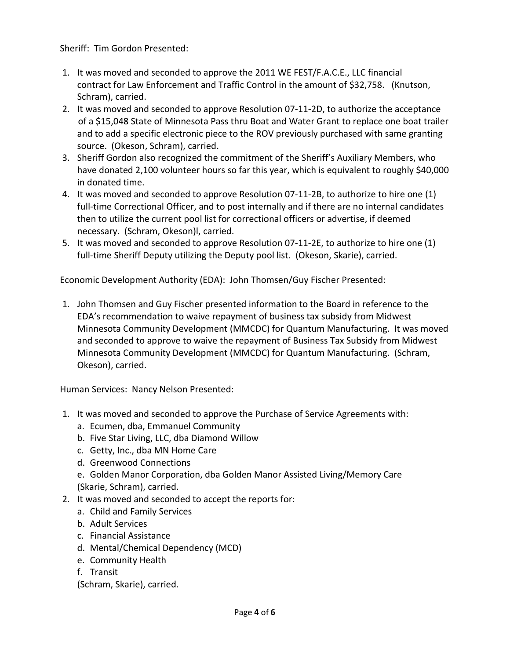Sheriff: Tim Gordon Presented:

- 1. It was moved and seconded to approve the 2011 WE FEST/F.A.C.E., LLC financial contract for Law Enforcement and Traffic Control in the amount of \$32,758. (Knutson, Schram), carried.
- 2. It was moved and seconded to approve Resolution 07-11-2D, to authorize the acceptance of a \$15,048 State of Minnesota Pass thru Boat and Water Grant to replace one boat trailer and to add a specific electronic piece to the ROV previously purchased with same granting source. (Okeson, Schram), carried.
- 3. Sheriff Gordon also recognized the commitment of the Sheriff's Auxiliary Members, who have donated 2,100 volunteer hours so far this year, which is equivalent to roughly \$40,000 in donated time.
- 4. It was moved and seconded to approve Resolution 07-11-2B, to authorize to hire one (1) full-time Correctional Officer, and to post internally and if there are no internal candidates then to utilize the current pool list for correctional officers or advertise, if deemed necessary. (Schram, Okeson)l, carried.
- 5. It was moved and seconded to approve Resolution 07-11-2E, to authorize to hire one (1) full-time Sheriff Deputy utilizing the Deputy pool list. (Okeson, Skarie), carried.

Economic Development Authority (EDA): John Thomsen/Guy Fischer Presented:

1. John Thomsen and Guy Fischer presented information to the Board in reference to the EDA's recommendation to waive repayment of business tax subsidy from Midwest Minnesota Community Development (MMCDC) for Quantum Manufacturing. It was moved and seconded to approve to waive the repayment of Business Tax Subsidy from Midwest Minnesota Community Development (MMCDC) for Quantum Manufacturing. (Schram, Okeson), carried.

Human Services: Nancy Nelson Presented:

- 1. It was moved and seconded to approve the Purchase of Service Agreements with:
	- a. Ecumen, dba, Emmanuel Community
	- b. Five Star Living, LLC, dba Diamond Willow
	- c. Getty, Inc., dba MN Home Care
	- d. Greenwood Connections
	- e. Golden Manor Corporation, dba Golden Manor Assisted Living/Memory Care (Skarie, Schram), carried.
- 2. It was moved and seconded to accept the reports for:
	- a. Child and Family Services
	- b. Adult Services
	- c. Financial Assistance
	- d. Mental/Chemical Dependency (MCD)
	- e. Community Health
	- f. Transit

(Schram, Skarie), carried.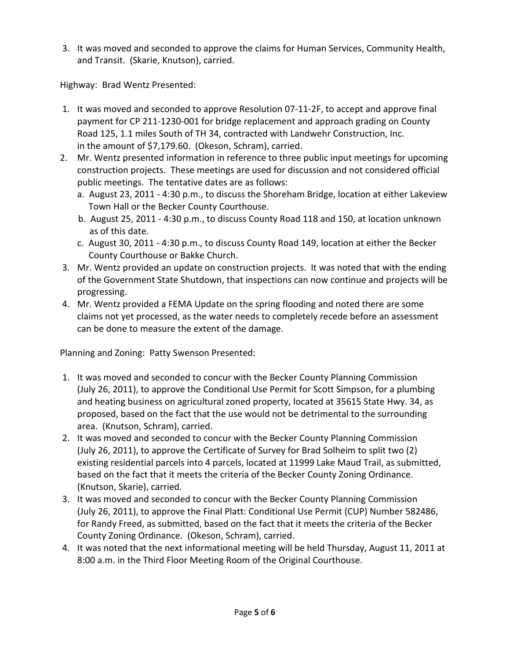3. It was moved and seconded to approve the claims for Human Services, Community Health, and Transit. (Skarie, Knutson), carried.

Highway: Brad Wentz Presented:

- 1. It was moved and seconded to approve Resolution 07-11-2F, to accept and approve final payment for CP 211-1230-001 for bridge replacement and approach grading on County Road 125, 1.1 miles South of TH 34, contracted with Landwehr Construction, Inc. in the amount of \$7,179.60. (Okeson, Schram), carried.
- 2. Mr. Wentz presented information in reference to three public input meetings for upcoming construction projects. These meetings are used for discussion and not considered official public meetings. The tentative dates are as follows:
	- a. August 23, 2011 4:30 p.m., to discuss the Shoreham Bridge, location at either Lakeview Town Hall or the Becker County Courthouse.
	- b. August 25, 2011 4:30 p.m., to discuss County Road 118 and 150, at location unknown as of this date.
	- c. August 30, 2011 4:30 p.m., to discuss County Road 149, location at either the Becker County Courthouse or Bakke Church.
- 3. Mr. Wentz provided an update on construction projects. It was noted that with the ending of the Government State Shutdown, that inspections can now continue and projects will be progressing.
- 4. Mr. Wentz provided a FEMA Update on the spring flooding and noted there are some claims not yet processed, as the water needs to completely recede before an assessment can be done to measure the extent of the damage.

Planning and Zoning: Patty Swenson Presented:

- 1. It was moved and seconded to concur with the Becker County Planning Commission (July 26, 2011), to approve the Conditional Use Permit for Scott Simpson, for a plumbing and heating business on agricultural zoned property, located at 35615 State Hwy. 34, as proposed, based on the fact that the use would not be detrimental to the surrounding area. (Knutson, Schram), carried.
- 2. It was moved and seconded to concur with the Becker County Planning Commission (July 26, 2011), to approve the Certificate of Survey for Brad Solheim to split two (2) existing residential parcels into 4 parcels, located at 11999 Lake Maud Trail, as submitted, based on the fact that it meets the criteria of the Becker County Zoning Ordinance. (Knutson, Skarie), carried.
- 3. It was moved and seconded to concur with the Becker County Planning Commission (July 26, 2011), to approve the Final Platt: Conditional Use Permit (CUP) Number 582486, for Randy Freed, as submitted, based on the fact that it meets the criteria of the Becker County Zoning Ordinance. (Okeson, Schram), carried.
- 4. It was noted that the next informational meeting will be held Thursday, August 11, 2011 at 8:00 a.m. in the Third Floor Meeting Room of the Original Courthouse.